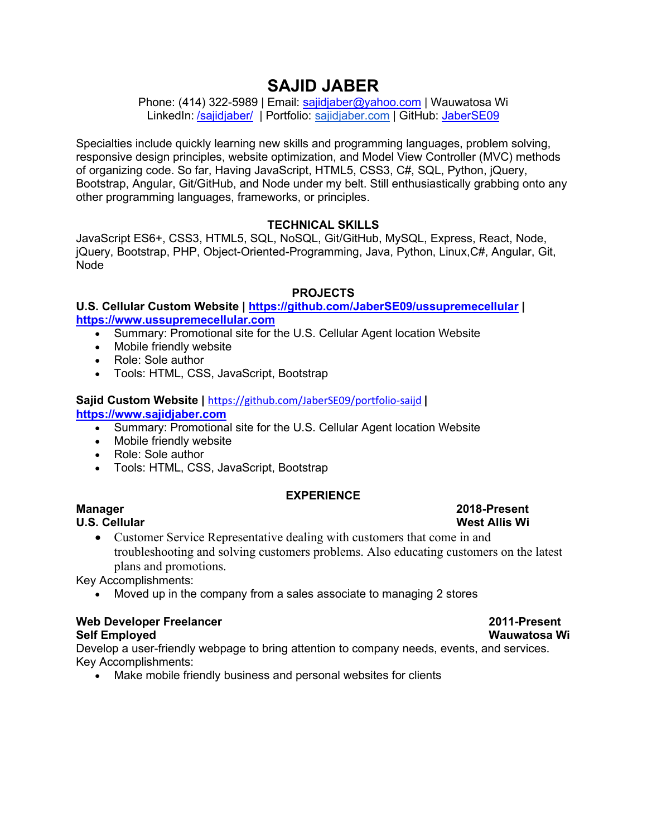# **SAJID JABER**

Phone: (414) 322-5989 | Email: [sajidjaber@yahoo.com](mailto:sajidjaber@yahoo.com) | Wauwatosa Wi LinkedIn: [/sajidjaber/](https://www.linkedin.com/in/sajidjaber/) | Portfolio: sajidjaber.com | GitHub: JaberSE09

Specialties include quickly learning new skills and programming languages, problem solving, responsive design principles, website optimization, and Model View Controller (MVC) methods of organizing code. So far, Having JavaScript, HTML5, CSS3, C#, SQL, Python, jQuery, Bootstrap, Angular, Git/GitHub, and Node under my belt. Still enthusiastically grabbing onto any other programming languages, frameworks, or principles.

## **TECHNICAL SKILLS**

JavaScript ES6+, CSS3, HTML5, SQL, NoSQL, Git/GitHub, MySQL, Express, React, Node, jQuery, Bootstrap, PHP, Object-Oriented-Programming, Java, Python, Linux,C#, Angular, Git, Node

## **PROJECTS**

### **U.S. Cellular Custom Website |<https://github.com/JaberSE09/ussupremecellular> | [https://www.ussupremecellular.com](https://www.ussupremecellular.com/)**

- Summary: Promotional site for the U.S. Cellular Agent location Website
- Mobile friendly website
- Role: Sole author
- Tools: HTML, CSS, JavaScript, Bootstrap

### **Sajid Custom Website |** <https://github.com/JaberSE09/portfolio-saijd> **| [https://www.sajidjaber.com](https://www.sajidjaber.com/)**

- Summary: Promotional site for the U.S. Cellular Agent location Website
- Mobile friendly website
- Role: Sole author
- Tools: HTML, CSS, JavaScript, Bootstrap

### **EXPERIENCE**

**U.S. Cellular** 

• Customer Service Representative dealing with customers that come in and troubleshooting and solving customers problems. Also educating customers on the latest plans and promotions.

Key Accomplishments:

• Moved up in the company from a sales associate to managing 2 stores

## **Web Developer Freelancer 2011-Present**

**Self Employed Wauwatosa Wi**  Develop a user-friendly webpage to bring attention to company needs, events, and services. Key Accomplishments:

• Make mobile friendly business and personal websites for clients

# **Manager 2018-Present**